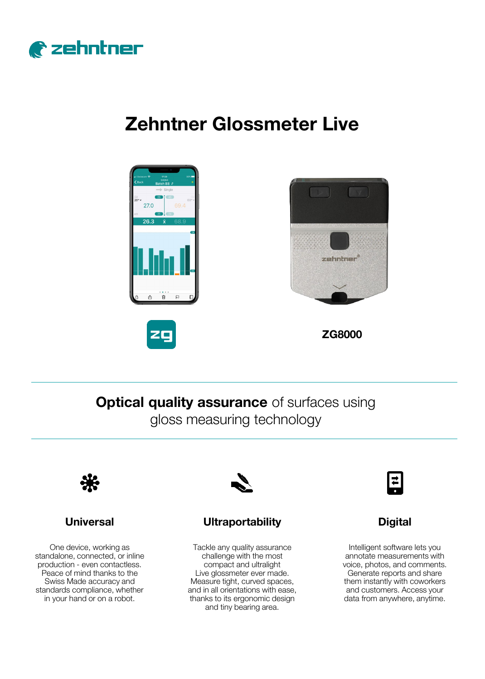

# **Zehntner Glossmeter Live**







**ZG8000**

**Optical quality assurance** of surfaces using gloss measuring technology



## **Universal**

One device, working as standalone, connected, or inline production - even contactless. Peace of mind thanks to the Swiss Made accuracy and standards compliance, whether in your hand or on a robot.



## **Ultraportability Digital**

Tackle any quality assurance challenge with the most compact and ultralight Live glossmeter ever made. Measure tight, curved spaces, and in all orientations with ease, thanks to its ergonomic design and tiny bearing area.



Intelligent software lets you annotate measurements with voice, photos, and comments. Generate reports and share them instantly with coworkers and customers. Access your data from anywhere, anytime.